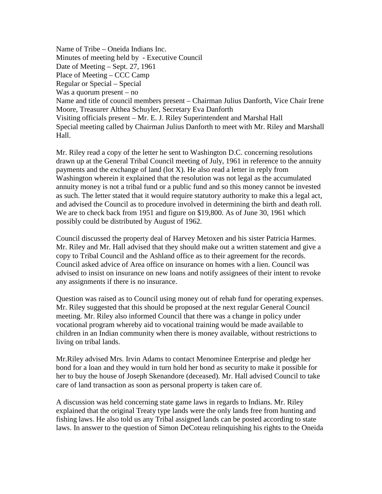Name of Tribe – Oneida Indians Inc. Minutes of meeting held by - Executive Council Date of Meeting – Sept. 27, 1961 Place of Meeting – CCC Camp Regular or Special – Special Was a quorum present – no Name and title of council members present – Chairman Julius Danforth, Vice Chair Irene Moore, Treasurer Althea Schuyler, Secretary Eva Danforth Visiting officials present – Mr. E. J. Riley Superintendent and Marshal Hall Special meeting called by Chairman Julius Danforth to meet with Mr. Riley and Marshall Hall.

Mr. Riley read a copy of the letter he sent to Washington D.C. concerning resolutions drawn up at the General Tribal Council meeting of July, 1961 in reference to the annuity payments and the exchange of land (lot X). He also read a letter in reply from Washington wherein it explained that the resolution was not legal as the accumulated annuity money is not a tribal fund or a public fund and so this money cannot be invested as such. The letter stated that it would require statutory authority to make this a legal act, and advised the Council as to procedure involved in determining the birth and death roll. We are to check back from 1951 and figure on \$19,800. As of June 30, 1961 which possibly could be distributed by August of 1962.

Council discussed the property deal of Harvey Metoxen and his sister Patricia Harmes. Mr. Riley and Mr. Hall advised that they should make out a written statement and give a copy to Tribal Council and the Ashland office as to their agreement for the records. Council asked advice of Area office on insurance on homes with a lien. Council was advised to insist on insurance on new loans and notify assignees of their intent to revoke any assignments if there is no insurance.

Question was raised as to Council using money out of rehab fund for operating expenses. Mr. Riley suggested that this should be proposed at the next regular General Council meeting. Mr. Riley also informed Council that there was a change in policy under vocational program whereby aid to vocational training would be made available to children in an Indian community when there is money available, without restrictions to living on tribal lands.

Mr.Riley advised Mrs. Irvin Adams to contact Menominee Enterprise and pledge her bond for a loan and they would in turn hold her bond as security to make it possible for her to buy the house of Joseph Skenandore (deceased). Mr. Hall advised Council to take care of land transaction as soon as personal property is taken care of.

A discussion was held concerning state game laws in regards to Indians. Mr. Riley explained that the original Treaty type lands were the only lands free from hunting and fishing laws. He also told us any Tribal assigned lands can be posted according to state laws. In answer to the question of Simon DeCoteau relinquishing his rights to the Oneida